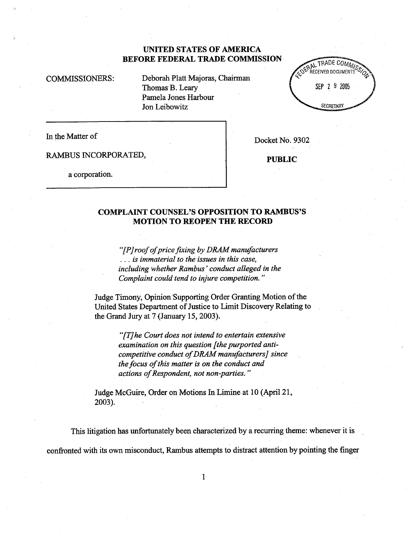# UNITED STATES OF AMRICA BEFORE FEDERAL TRADE COMMISSION

COMMISSIONERS: Deborah Platt Majoras, Chairman Thomas B. Leary Pamela Jones Harbour Jon Leibowitz



In the Matter of Docket No. 9302

RAMBUS INCORPORATED, PUBLIC

a corporation.

## COMPLAINT COUNSEL'S OPPOSITION TO RAMBUS'S MOTION TO REOPEN THE RECORD

 $f(P)$  roof of price fixing by DRAM manufacturers  $\ldots$  is immaterial to the issues in this case, including whether Rambus' conduct alleged in the Complaint could tend to injure competition. "

Judge Timony, Opinion Supporting Order Granting Motion of the United States Deparment of Justice to Limit Discovery Relating to the Grand Jury at  $7$  (January 15, 2003).

> $f(T)$ he Court does not intend to entertain extensive examination on this question fthe purported anticompetitive conduct of DRAM manufacturers] since the focus of this matter is on the conduct and actions of Respondent, not non-parties."

Judge McGuire, Order on Motions In Limine at 10 (Apri121 2003).

This litigation has unfortunately been characterized by a recurring theme: whenever it is confronted with its own misconduct, Rambus attempts to distract attention by pointing the finger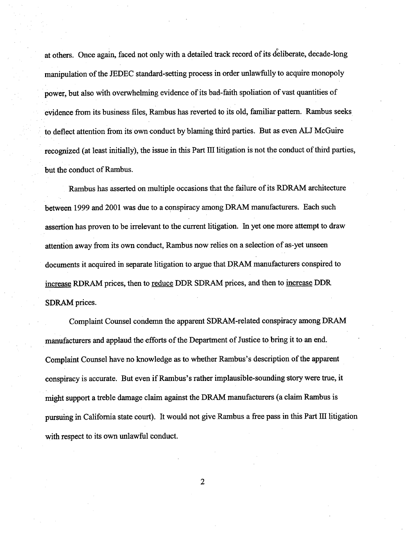at others. Once again, faced not only with a detailed track record of its deliberate, decade-long manipulation of the JEDEC standard-setting process in order unlawfully to acquire monopoly power, but also with overwhelming evidence of its bad-faith spoliation of vast quantities of evidence from its business files, Rambus has reverted to its old, familiar pattern. Rambus seeks to deflect attention from its own conduct by blaming third paries. But as even ALJ McGuire recognized (at least initially), the issue in this Part III litigation is not the conduct of third parties, but the conduct of Rambus.

Rambus has asserted on multiple occasions that the failure of its RDRAM architecture between 1999 and 2001 was due to a conspiracy among DRAM manufacturers. Each such assertion has proven to be irrelevant to the curent litigation. In yet one more attempt to draw attention away from its own conduct, Rambus now relies on a selection of as-yet unseen documents it acquired in separate litigation to argue that DRAM manufacturers conspired to increase RDRAM prices, then to reduce DDR SDRAM prices, and then to increase DDR SDRAM prices.

Complaint Counsel condemn the apparent SDRAM-related conspiracy among DRAM manufacturers and applaud the efforts of the Department of Justice to bring it to an end. Complaint Counsel have no knowledge as to whether Rambus's description of the apparent conspiracy is accurate. But even if Rambus's rather implausible-sounding story were true, it might support a treble damage claim against the DRAM manufacturers (a claim Rambus is pursuing in California state court). It would not give Rambus a free pass in this Part III litigation with respect to its own unlawful conduct.

 $\overline{2}$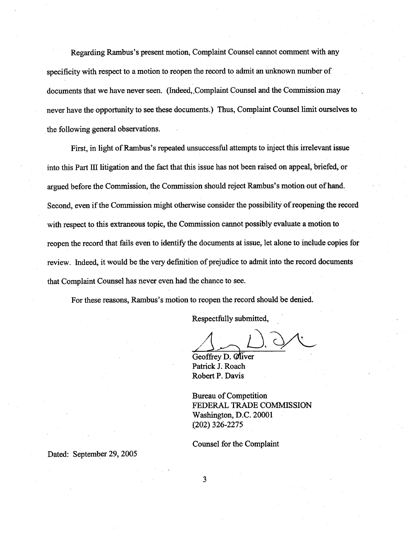Regarding Rambus's present motion, Complaint Counsel cannot comment with any specificity with respect to a motion to reopen the record to admit an unknown number of documents that we have never seen. (Indeed Complaint Counsel and the Commission may never have the opportunity to see these documents.) Thus, Complaint Counsel limit ourselves to the following general observations.

First, in light of Rambus's repeated unsuccessful attempts to inject this irrelevant issue into this Part III litigation and the fact that this issue has not been raised on appeal, briefed, or argued before the Commission, the Commission should reject Rambus's motion out of hand. Second, even if the Commission might otherwise consider the possibility of reopening the record with respect to this extraneous topic, the Commission canot possibly evaluate a motion to reopen the record that fails even to identify the documents at issue, let alone to include copies for review. Indeed, it would be the very definition of prejudice to admit into the record documents that Complaint Counsel has never even had the chance to see.

For these reasons, Rambus's motion to reopen the record should be denied.

Respectfully submitted

Geoffrey D. Oliver Patrick J. Roach Robert P. Davis

Bureau of Competition FEDERAL TRADE COMMISSION Washigton, D.C. 20001 (202) 326-2275

Counsel for the Complaint

Dated: September 29, 2005